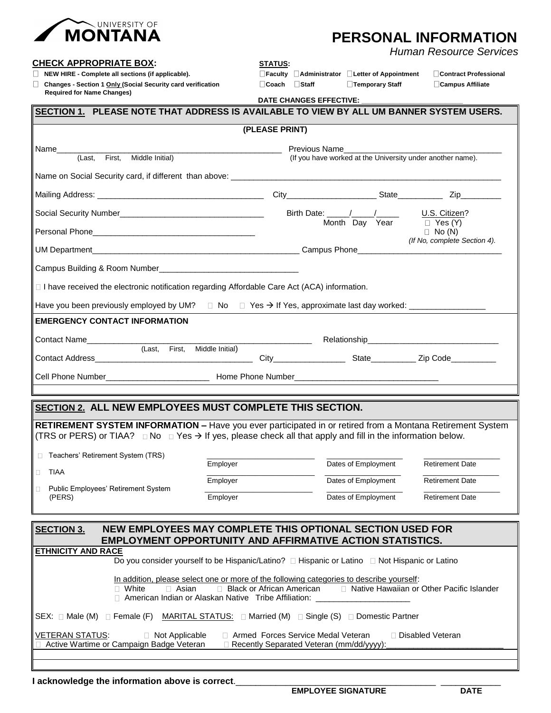

## **PERSONAL INFORMATION**

*Human Resource Services*

**CHECK APPROPRIATE BOX: STATUS:**

 **NEW HIRE - Complete all sections (if applicable). Faculty Administrator Letter of Appointment Contract Professional**

 **Changes - Section 1 Only (Social Security card verification Coach Staff Temporary Staff Campus Affiliate Required for Name Changes)** 

 **DATE CHANGES EFFECTIVE: \_\_\_\_\_\_\_\_\_\_\_\_\_\_\_\_\_\_\_\_\_\_\_\_\_\_\_\_\_**

| SECTION 1. PLEASE NOTE THAT ADDRESS IS AVAILABLE TO VIEW BY ALL UM BANNER SYSTEM USERS.                                                                                                                                                              |                                                                                                                                                                                 |                                                                                                                                                                                                                                                                                                                                                                                                                     |                                                            |  |  |
|------------------------------------------------------------------------------------------------------------------------------------------------------------------------------------------------------------------------------------------------------|---------------------------------------------------------------------------------------------------------------------------------------------------------------------------------|---------------------------------------------------------------------------------------------------------------------------------------------------------------------------------------------------------------------------------------------------------------------------------------------------------------------------------------------------------------------------------------------------------------------|------------------------------------------------------------|--|--|
| (PLEASE PRINT)                                                                                                                                                                                                                                       |                                                                                                                                                                                 |                                                                                                                                                                                                                                                                                                                                                                                                                     |                                                            |  |  |
| Name____                                                                                                                                                                                                                                             |                                                                                                                                                                                 | Previous Name                                                                                                                                                                                                                                                                                                                                                                                                       |                                                            |  |  |
| First, Middle Initial)<br>(Last.                                                                                                                                                                                                                     |                                                                                                                                                                                 |                                                                                                                                                                                                                                                                                                                                                                                                                     | (If you have worked at the University under another name). |  |  |
|                                                                                                                                                                                                                                                      |                                                                                                                                                                                 |                                                                                                                                                                                                                                                                                                                                                                                                                     |                                                            |  |  |
|                                                                                                                                                                                                                                                      |                                                                                                                                                                                 |                                                                                                                                                                                                                                                                                                                                                                                                                     |                                                            |  |  |
|                                                                                                                                                                                                                                                      |                                                                                                                                                                                 | Birth Date: $\frac{1}{\sqrt{1-\frac{1}{2}}}\frac{1}{\sqrt{1-\frac{1}{2}}}\frac{1}{\sqrt{1-\frac{1}{2}}}\frac{1}{\sqrt{1-\frac{1}{2}}}\frac{1}{\sqrt{1-\frac{1}{2}}}\frac{1}{\sqrt{1-\frac{1}{2}}}\frac{1}{\sqrt{1-\frac{1}{2}}}\frac{1}{\sqrt{1-\frac{1}{2}}}\frac{1}{\sqrt{1-\frac{1}{2}}}\frac{1}{\sqrt{1-\frac{1}{2}}}\frac{1}{\sqrt{1-\frac{1}{2}}}\frac{1}{\sqrt{1-\frac{1}{2}}}\frac{1}{\sqrt{1-\frac{1}{2}}$ | U.S. Citizen?                                              |  |  |
|                                                                                                                                                                                                                                                      |                                                                                                                                                                                 | Month Day Year                                                                                                                                                                                                                                                                                                                                                                                                      | $\Box$ Yes (Y)<br>$\Box$ No (N)                            |  |  |
|                                                                                                                                                                                                                                                      |                                                                                                                                                                                 | (If No, complete Section 4).                                                                                                                                                                                                                                                                                                                                                                                        |                                                            |  |  |
|                                                                                                                                                                                                                                                      |                                                                                                                                                                                 |                                                                                                                                                                                                                                                                                                                                                                                                                     |                                                            |  |  |
| $\Box$ I have received the electronic notification regarding Affordable Care Act (ACA) information.                                                                                                                                                  |                                                                                                                                                                                 |                                                                                                                                                                                                                                                                                                                                                                                                                     |                                                            |  |  |
|                                                                                                                                                                                                                                                      |                                                                                                                                                                                 |                                                                                                                                                                                                                                                                                                                                                                                                                     |                                                            |  |  |
| <b>EMERGENCY CONTACT INFORMATION</b>                                                                                                                                                                                                                 |                                                                                                                                                                                 |                                                                                                                                                                                                                                                                                                                                                                                                                     |                                                            |  |  |
| Contact Name                                                                                                                                                                                                                                         |                                                                                                                                                                                 |                                                                                                                                                                                                                                                                                                                                                                                                                     |                                                            |  |  |
| (Last, First, Middle Initial)<br><b>Contact Address</b>                                                                                                                                                                                              | City State Zip Code                                                                                                                                                             |                                                                                                                                                                                                                                                                                                                                                                                                                     |                                                            |  |  |
|                                                                                                                                                                                                                                                      |                                                                                                                                                                                 |                                                                                                                                                                                                                                                                                                                                                                                                                     |                                                            |  |  |
|                                                                                                                                                                                                                                                      |                                                                                                                                                                                 |                                                                                                                                                                                                                                                                                                                                                                                                                     |                                                            |  |  |
| SECTION 2. ALL NEW EMPLOYEES MUST COMPLETE THIS SECTION.                                                                                                                                                                                             |                                                                                                                                                                                 |                                                                                                                                                                                                                                                                                                                                                                                                                     |                                                            |  |  |
|                                                                                                                                                                                                                                                      |                                                                                                                                                                                 |                                                                                                                                                                                                                                                                                                                                                                                                                     |                                                            |  |  |
| <b>RETIREMENT SYSTEM INFORMATION –</b> Have you ever participated in or retired from a Montana Retirement System<br>(TRS or PERS) or TIAA? $\Box$ No $\Box$ Yes $\rightarrow$ If yes, please check all that apply and fill in the information below. |                                                                                                                                                                                 |                                                                                                                                                                                                                                                                                                                                                                                                                     |                                                            |  |  |
| □ Teachers' Retirement System (TRS)                                                                                                                                                                                                                  |                                                                                                                                                                                 |                                                                                                                                                                                                                                                                                                                                                                                                                     |                                                            |  |  |
| TIAA<br>0                                                                                                                                                                                                                                            | Employer                                                                                                                                                                        | Dates of Employment                                                                                                                                                                                                                                                                                                                                                                                                 | <b>Retirement Date</b>                                     |  |  |
| Public Employees' Retirement System                                                                                                                                                                                                                  | Employer                                                                                                                                                                        | Dates of Employment                                                                                                                                                                                                                                                                                                                                                                                                 | <b>Retirement Date</b>                                     |  |  |
| (PERS)                                                                                                                                                                                                                                               | Employer                                                                                                                                                                        | Dates of Employment                                                                                                                                                                                                                                                                                                                                                                                                 | <b>Retirement Date</b>                                     |  |  |
|                                                                                                                                                                                                                                                      |                                                                                                                                                                                 |                                                                                                                                                                                                                                                                                                                                                                                                                     |                                                            |  |  |
| <b>SECTION 3.</b>                                                                                                                                                                                                                                    | NEW EMPLOYEES MAY COMPLETE THIS OPTIONAL SECTION USED FOR                                                                                                                       |                                                                                                                                                                                                                                                                                                                                                                                                                     |                                                            |  |  |
| <b>ETHNICITY AND RACE</b>                                                                                                                                                                                                                            | <b>EMPLOYMENT OPPORTUNITY AND AFFIRMATIVE ACTION STATISTICS.</b>                                                                                                                |                                                                                                                                                                                                                                                                                                                                                                                                                     |                                                            |  |  |
|                                                                                                                                                                                                                                                      | Do you consider yourself to be Hispanic/Latino? □ Hispanic or Latino □ Not Hispanic or Latino                                                                                   |                                                                                                                                                                                                                                                                                                                                                                                                                     |                                                            |  |  |
| $\Box$ Asian<br>$\Box$ White                                                                                                                                                                                                                         | In addition, please select one or more of the following categories to describe yourself:<br>□ Black or African American<br>American Indian or Alaskan Native Tribe Affiliation: |                                                                                                                                                                                                                                                                                                                                                                                                                     | □ Native Hawaiian or Other Pacific Islander                |  |  |
| SEX: $\Box$ Male (M) $\Box$ Female (F) MARITAL STATUS: $\Box$ Married (M) $\Box$ Single (S) $\Box$ Domestic Partner                                                                                                                                  |                                                                                                                                                                                 |                                                                                                                                                                                                                                                                                                                                                                                                                     |                                                            |  |  |
| <b>VETERAN STATUS:</b><br>□ Not Applicable<br>Active Wartime or Campaign Badge Veteran                                                                                                                                                               | Armed Forces Service Medal Veteran<br>Recently Separated Veteran (mm/dd/yyyy):                                                                                                  |                                                                                                                                                                                                                                                                                                                                                                                                                     | □ Disabled Veteran                                         |  |  |

**I acknowledge the information above is correct.**<br>EMPLOYEE SIGNATURE DATE

**EMPLOYEE SIGNATURE**